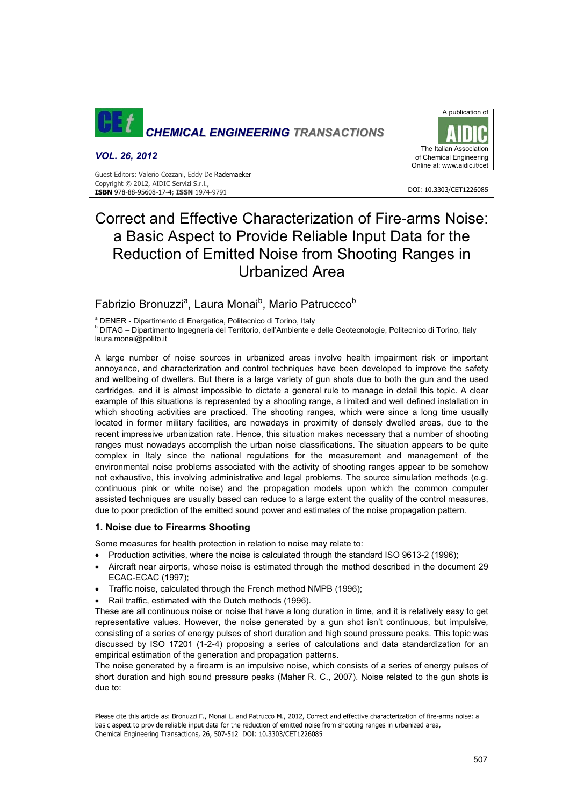

#### *VOL. 26, 2012*

Guest Editors: Valerio Cozzani, Eddy De Rademaeker Copyright © 2012, AIDIC Servizi S.r.l., **ISBN** 978-88-95608-17-4; **ISSN** 1974-9791



#### DOI: 10.3303/CET1226085

# Correct and Effective Characterization of Fire-arms Noise: a Basic Aspect to Provide Reliable Input Data for the Reduction of Emitted Noise from Shooting Ranges in Urbanized Area

## Fabrizio Bronuzzi<sup>a</sup>, Laura Monai<sup>b</sup>, Mario Patruccco<sup>b</sup>

<sup>a</sup> DENER - Dipartimento di Energetica, Politecnico di Torino, Italy

<sup>b</sup> DITAG – Dipartimento Ingegneria del Territorio, dell'Ambiente e delle Geotecnologie, Politecnico di Torino, Italy laura.monai@polito.it

A large number of noise sources in urbanized areas involve health impairment risk or important annoyance, and characterization and control techniques have been developed to improve the safety and wellbeing of dwellers. But there is a large variety of gun shots due to both the gun and the used cartridges, and it is almost impossible to dictate a general rule to manage in detail this topic. A clear example of this situations is represented by a shooting range, a limited and well defined installation in which shooting activities are practiced. The shooting ranges, which were since a long time usually located in former military facilities, are nowadays in proximity of densely dwelled areas, due to the recent impressive urbanization rate. Hence, this situation makes necessary that a number of shooting ranges must nowadays accomplish the urban noise classifications. The situation appears to be quite complex in Italy since the national regulations for the measurement and management of the environmental noise problems associated with the activity of shooting ranges appear to be somehow not exhaustive, this involving administrative and legal problems. The source simulation methods (e.g. continuous pink or white noise) and the propagation models upon which the common computer assisted techniques are usually based can reduce to a large extent the quality of the control measures, due to poor prediction of the emitted sound power and estimates of the noise propagation pattern.

## **1. Noise due to Firearms Shooting**

Some measures for health protection in relation to noise may relate to:

- Production activities, where the noise is calculated through the standard ISO 9613-2 (1996);
- Aircraft near airports, whose noise is estimated through the method described in the document 29 ECAC-ECAC (1997);
- Traffic noise, calculated through the French method NMPB (1996);
- Rail traffic, estimated with the Dutch methods (1996).

These are all continuous noise or noise that have a long duration in time, and it is relatively easy to get representative values. However, the noise generated by a gun shot isn't continuous, but impulsive, consisting of a series of energy pulses of short duration and high sound pressure peaks. This topic was discussed by ISO 17201 (1-2-4) proposing a series of calculations and data standardization for an empirical estimation of the generation and propagation patterns.

The noise generated by a firearm is an impulsive noise, which consists of a series of energy pulses of short duration and high sound pressure peaks (Maher R. C., 2007). Noise related to the gun shots is due to:

Please cite this article as: Bronuzzi F., Monai L. and Patrucco M., 2012, Correct and effective characterization of fire-arms noise: a basic aspect to provide reliable input data for the reduction of emitted noise from shooting ranges in urbanized area, Chemical Engineering Transactions, 26, 507-512 DOI: 10.3303/CET1226085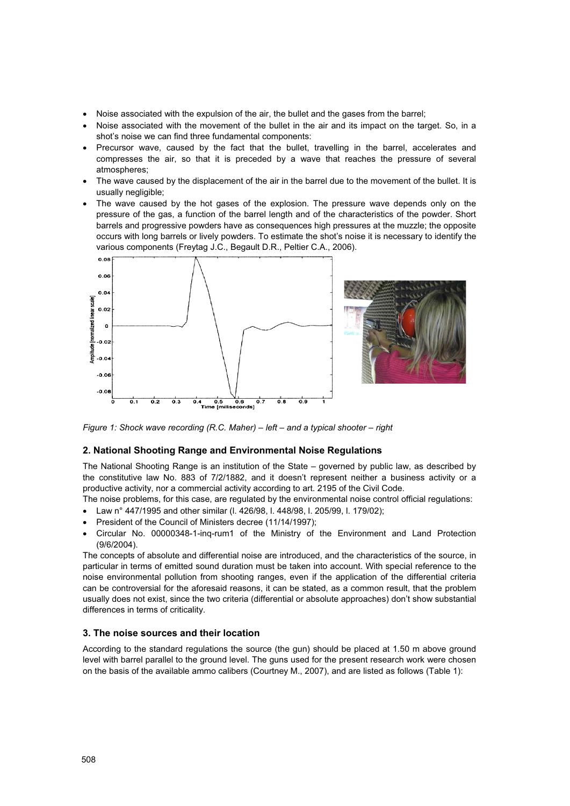- Noise associated with the expulsion of the air, the bullet and the gases from the barrel;
- Noise associated with the movement of the bullet in the air and its impact on the target. So, in a shot's noise we can find three fundamental components:
- Precursor wave, caused by the fact that the bullet, travelling in the barrel, accelerates and compresses the air, so that it is preceded by a wave that reaches the pressure of several atmospheres;
- The wave caused by the displacement of the air in the barrel due to the movement of the bullet. It is usually negligible;
- The wave caused by the hot gases of the explosion. The pressure wave depends only on the pressure of the gas, a function of the barrel length and of the characteristics of the powder. Short barrels and progressive powders have as consequences high pressures at the muzzle; the opposite occurs with long barrels or lively powders. To estimate the shot's noise it is necessary to identify the various components (Freytag J.C., Begault D.R., Peltier C.A., 2006).



*Figure 1: Shock wave recording (R.C. Maher) – left – and a typical shooter – right* 

#### **2. National Shooting Range and Environmental Noise Regulations**

The National Shooting Range is an institution of the State – governed by public law, as described by the constitutive law No. 883 of 7/2/1882, and it doesn't represent neither a business activity or a productive activity, nor a commercial activity according to art. 2195 of the Civil Code.

The noise problems, for this case, are regulated by the environmental noise control official regulations:

- Law n° 447/1995 and other similar (l. 426/98, l. 448/98, l. 205/99, l. 179/02);
- President of the Council of Ministers decree (11/14/1997);
- x Circular No. 00000348-1-inq-rum1 of the Ministry of the Environment and Land Protection (9/6/2004).

The concepts of absolute and differential noise are introduced, and the characteristics of the source, in particular in terms of emitted sound duration must be taken into account. With special reference to the noise environmental pollution from shooting ranges, even if the application of the differential criteria can be controversial for the aforesaid reasons, it can be stated, as a common result, that the problem usually does not exist, since the two criteria (differential or absolute approaches) don't show substantial differences in terms of criticality.

### **3. The noise sources and their location**

According to the standard regulations the source (the gun) should be placed at 1.50 m above ground level with barrel parallel to the ground level. The guns used for the present research work were chosen on the basis of the available ammo calibers (Courtney M., 2007), and are listed as follows (Table 1):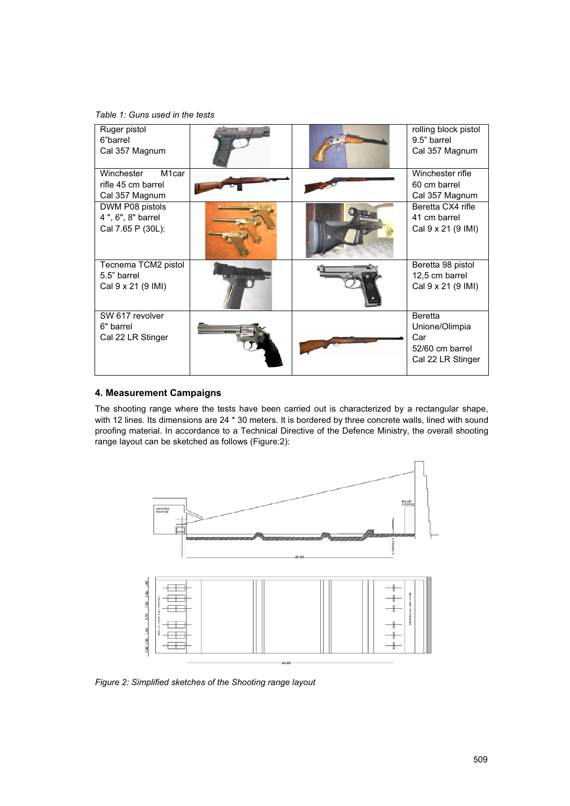*Table 1: Guns used in the tests* 

| Ruger pistol<br>6"barrel<br>Cal 357 Magnum                               |  | rolling block pistol<br>9.5" barrel<br>Cal 357 Magnum                           |
|--------------------------------------------------------------------------|--|---------------------------------------------------------------------------------|
| Winchester<br>M <sub>1</sub> car<br>rifle 45 cm barrel<br>Cal 357 Magnum |  | Winchester rifle<br>60 cm barrel<br>Cal 357 Magnum                              |
| DWM P08 pistols<br>4", 6", 8" barrel<br>Cal 7.65 P (30L):                |  | Beretta CX4 rifle<br>41 cm barrel<br>Cal 9 x 21 (9 IMI)                         |
| Tecnema TCM2 pistol<br>5.5" barrel<br>Cal 9 x 21 (9 IMI)                 |  | Beretta 98 pistol<br>12,5 cm barrel<br>Cal 9 x 21 (9 IMI)                       |
| SW 617 revolver<br>6" barrel<br>Cal 22 LR Stinger                        |  | <b>Beretta</b><br>Unione/Olimpia<br>Car<br>52/60 cm barrel<br>Cal 22 LR Stinger |

## **4. Measurement Campaigns**

The shooting range where the tests have been carried out is characterized by a rectangular shape, with 12 lines. Its dimensions are 24 \* 30 meters. It is bordered by three concrete walls, lined with sound proofing material. In accordance to a Technical Directive of the Defence Ministry, the overall shooting range layout can be sketched as follows (Figure:2):



*Figure 2: Simplified sketches of the Shooting range layout*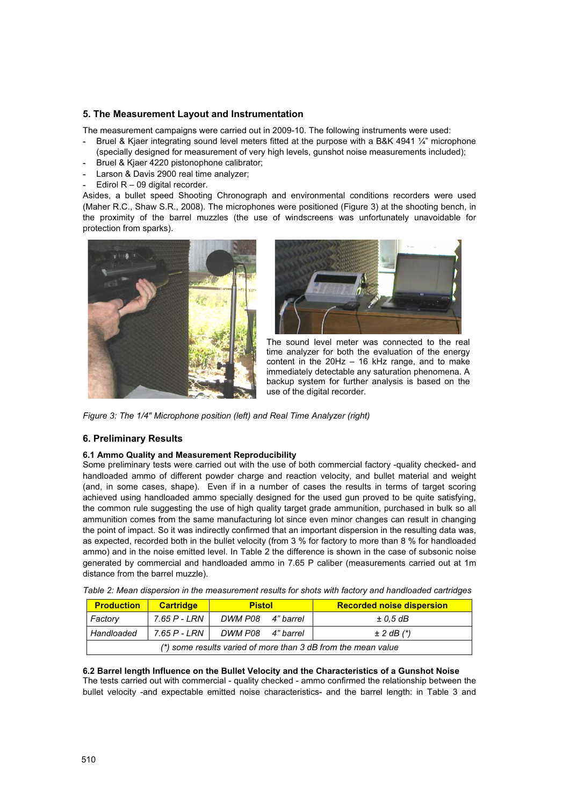## **5. The Measurement Layout and Instrumentation**

The measurement campaigns were carried out in 2009-10. The following instruments were used:

- **-** Bruel & Kjaer integrating sound level meters fitted at the purpose with a B&K 4941 ¼" microphone (specially designed for measurement of very high levels, gunshot noise measurements included);
- **-** Bruel & Kjaer 4220 pistonophone calibrator;
- **-** Larson & Davis 2900 real time analyzer;
- Edirol R 09 digital recorder.

Asides, a bullet speed Shooting Chronograph and environmental conditions recorders were used (Maher R.C., Shaw S.R., 2008). The microphones were positioned (Figure 3) at the shooting bench, in the proximity of the barrel muzzles (the use of windscreens was unfortunately unavoidable for protection from sparks).





The sound level meter was connected to the real time analyzer for both the evaluation of the energy content in the 20Hz – 16 kHz range, and to make immediately detectable any saturation phenomena. A backup system for further analysis is based on the use of the digital recorder.

*Figure 3: The 1/4" Microphone position (left) and Real Time Analyzer (right)* 

## **6. Preliminary Results**

#### **6.1 Ammo Quality and Measurement Reproducibility**

Some preliminary tests were carried out with the use of both commercial factory -quality checked- and handloaded ammo of different powder charge and reaction velocity, and bullet material and weight (and, in some cases, shape). Even if in a number of cases the results in terms of target scoring achieved using handloaded ammo specially designed for the used gun proved to be quite satisfying, the common rule suggesting the use of high quality target grade ammunition, purchased in bulk so all ammunition comes from the same manufacturing lot since even minor changes can result in changing the point of impact. So it was indirectly confirmed that an important dispersion in the resulting data was, as expected, recorded both in the bullet velocity (from 3 % for factory to more than 8 % for handloaded ammo) and in the noise emitted level. In Table 2 the difference is shown in the case of subsonic noise generated by commercial and handloaded ammo in 7.65 P caliber (measurements carried out at 1m distance from the barrel muzzle).

| <b>Production</b>                                             | <b>Cartridge</b> | <b>Pistol</b>     |  | <b>Recorded noise dispersion</b> |  |  |  |
|---------------------------------------------------------------|------------------|-------------------|--|----------------------------------|--|--|--|
| Factory                                                       | 7.65 P - LRN     | DWM P08 4" barrel |  | $\pm$ 0.5 dB                     |  |  |  |
| Handloaded                                                    | 7.65 P - LRN     | DWM P08 4" barrel |  | $\pm$ 2 dB $(*)$                 |  |  |  |
| (*) some results varied of more than 3 dB from the mean value |                  |                   |  |                                  |  |  |  |

*Table 2: Mean dispersion in the measurement results for shots with factory and handloaded cartridges* 

**6.2 Barrel length Influence on the Bullet Velocity and the Characteristics of a Gunshot Noise**  The tests carried out with commercial - quality checked - ammo confirmed the relationship between the bullet velocity -and expectable emitted noise characteristics- and the barrel length: in Table 3 and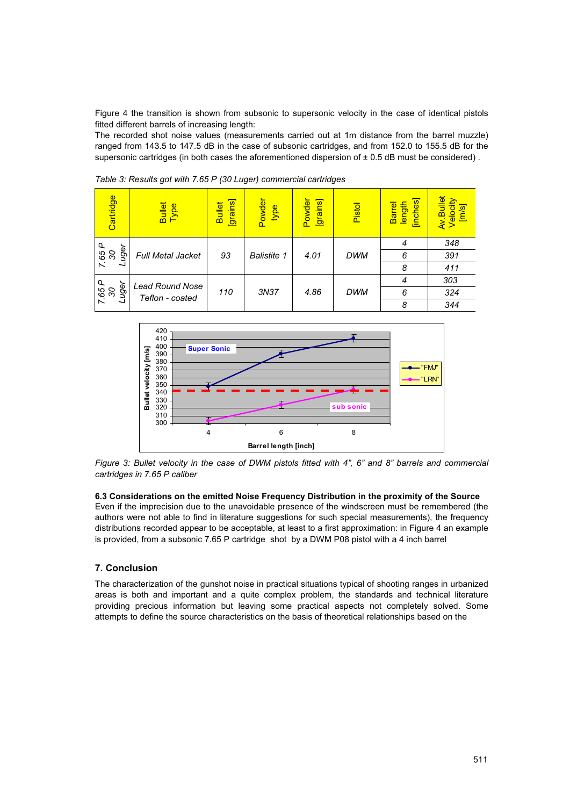Figure 4 the transition is shown from subsonic to supersonic velocity in the case of identical pistols fitted different barrels of increasing length:

The recorded shot noise values (measurements carried out at 1m distance from the barrel muzzle) ranged from 143.5 to 147.5 dB in the case of subsonic cartridges, and from 152.0 to 155.5 dB for the supersonic cartridges (in both cases the aforementioned dispersion of  $\pm$  0.5 dB must be considered).

| Cartridge                                                      | Bullet<br>Type | [grains]<br><b>Bullet</b> | Powder<br>type | Powder<br>[grains] | Pistol     | [inches]<br>length<br><b>Barrel</b> | Av.Bullet<br>Velocity<br><u>is/ul</u> |
|----------------------------------------------------------------|----------------|---------------------------|----------------|--------------------|------------|-------------------------------------|---------------------------------------|
| Q<br>uger<br>7.65<br><b>Full Metal Jacket</b>                  |                |                           |                |                    |            | $\overline{4}$                      | 348                                   |
|                                                                | 93             | <b>Balistite 1</b>        | 4.01           | <b>DWM</b>         | 6          | 391                                 |                                       |
|                                                                |                |                           |                |                    | 8          | 411                                 |                                       |
| Q<br>uger<br><b>Lead Round Nose</b><br>7.65<br>Teflon - coated |                | 110                       | 3N37           | 4.86               | <b>DWM</b> | 4                                   | 303                                   |
|                                                                |                |                           |                |                    |            | 6                                   | 324                                   |
|                                                                |                |                           |                |                    |            | 8                                   | 344                                   |

*Table 3: Results got with 7.65 P (30 Luger) commercial cartridges* 



*Figure 3: Bullet velocity in the case of DWM pistols fitted with 4", 6" and 8" barrels and commercial cartridges in 7.65 P caliber*

#### **6.3 Considerations on the emitted Noise Frequency Distribution in the proximity of the Source**

Even if the imprecision due to the unavoidable presence of the windscreen must be remembered (the authors were not able to find in literature suggestions for such special measurements), the frequency distributions recorded appear to be acceptable, at least to a first approximation: in Figure 4 an example is provided, from a subsonic 7.65 P cartridge shot by a DWM P08 pistol with a 4 inch barrel

## **7. Conclusion**

The characterization of the gunshot noise in practical situations typical of shooting ranges in urbanized areas is both and important and a quite complex problem, the standards and technical literature providing precious information but leaving some practical aspects not completely solved. Some attempts to define the source characteristics on the basis of theoretical relationships based on the